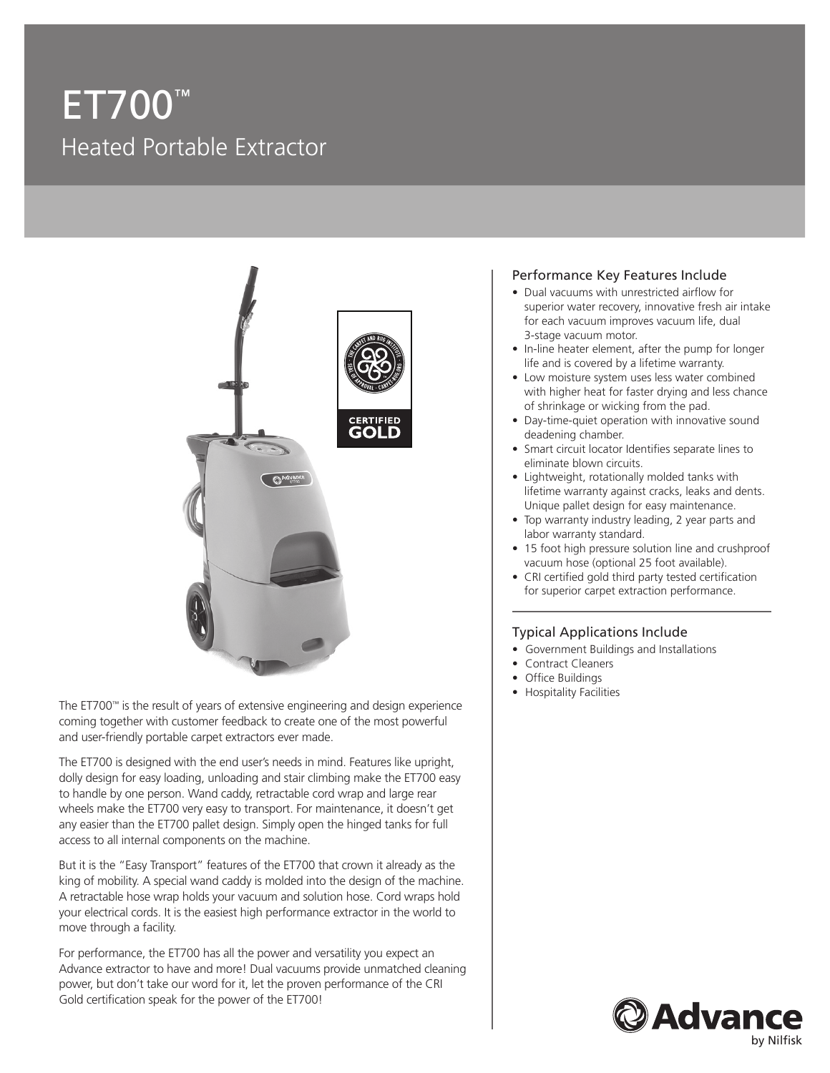# ET700™ Heated Portable Extractor



The ET700™ is the result of years of extensive engineering and design experience coming together with customer feedback to create one of the most powerful and user-friendly portable carpet extractors ever made.

The ET700 is designed with the end user's needs in mind. Features like upright, dolly design for easy loading, unloading and stair climbing make the ET700 easy to handle by one person. Wand caddy, retractable cord wrap and large rear wheels make the ET700 very easy to transport. For maintenance, it doesn't get any easier than the ET700 pallet design. Simply open the hinged tanks for full access to all internal components on the machine.

But it is the "Easy Transport" features of the ET700 that crown it already as the king of mobility. A special wand caddy is molded into the design of the machine. A retractable hose wrap holds your vacuum and solution hose. Cord wraps hold your electrical cords. It is the easiest high performance extractor in the world to move through a facility.

For performance, the ET700 has all the power and versatility you expect an Advance extractor to have and more! Dual vacuums provide unmatched cleaning power, but don't take our word for it, let the proven performance of the CRI Gold certification speak for the power of the ET700!

#### Performance Key Features Include

- Dual vacuums with unrestricted airflow for superior water recovery, innovative fresh air intake for each vacuum improves vacuum life, dual 3-stage vacuum motor.
- In-line heater element, after the pump for longer life and is covered by a lifetime warranty.
- Low moisture system uses less water combined with higher heat for faster drying and less chance of shrinkage or wicking from the pad.
- Day-time-quiet operation with innovative sound deadening chamber.
- Smart circuit locator Identifies separate lines to eliminate blown circuits.
- Lightweight, rotationally molded tanks with lifetime warranty against cracks, leaks and dents. Unique pallet design for easy maintenance.
- Top warranty industry leading, 2 year parts and labor warranty standard.
- 15 foot high pressure solution line and crushproof vacuum hose (optional 25 foot available).
- CRI certified gold third party tested certification for superior carpet extraction performance.

#### Typical Applications Include

- Government Buildings and Installations
- Contract Cleaners
- Office Buildings
- Hospitality Facilities